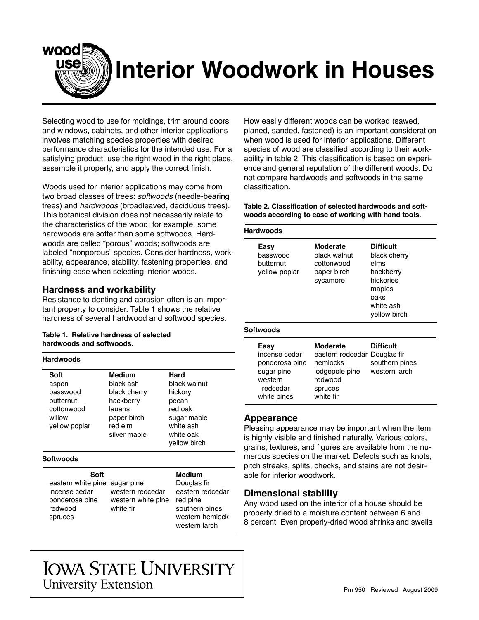

# **Interior Woodwork in Houses**

Selecting wood to use for moldings, trim around doors and windows, cabinets, and other interior applications involves matching species properties with desired performance characteristics for the intended use. For a satisfying product, use the right wood in the right place, assemble it properly, and apply the correct finish.

Woods used for interior applications may come from two broad classes of trees: *softwoods* (needle-bearing trees) and *hardwoods* (broadleaved, deciduous trees). This botanical division does not necessarily relate to the characteristics of the wood; for example, some hardwoods are softer than some softwoods. Hardwoods are called "porous" woods; softwoods are labeled "nonporous" species. Consider hardness, workability, appearance, stability, fastening properties, and finishing ease when selecting interior woods.

## **Hardness and workability**

Resistance to denting and abrasion often is an important property to consider. Table 1 shows the relative hardness of several hardwood and softwood species.

### **Table 1. Relative hardness of selected hardwoods and softwoods.**

| <b>Hardwoods</b> |
|------------------|
|                  |

| Soft<br>aspen<br>basswood<br>butternut<br>cottonwood<br>willow<br>yellow poplar | Medium<br>black ash<br>black cherry<br>hackberry<br>lauans<br>paper birch<br>red elm<br>silver maple | Hard<br>black walnut<br>hickory<br>pecan<br>red oak<br>sugar maple<br>white ash<br>white oak<br>yellow birch |  |
|---------------------------------------------------------------------------------|------------------------------------------------------------------------------------------------------|--------------------------------------------------------------------------------------------------------------|--|
| Softwoods                                                                       |                                                                                                      | Medium                                                                                                       |  |

sugar pine Douglas fir western redcedar eastern redcedar western white pine red pine white fir southern pines

western hemlock western larch

How easily different woods can be worked (sawed, planed, sanded, fastened) is an important consideration when wood is used for interior applications. Different species of wood are classified according to their workability in table 2. This classification is based on experience and general reputation of the different woods. Do not compare hardwoods and softwoods in the same classification.

Table 2. Classification of selected hardwoods and soft**woods according to ease of working with hand tools.**

| <b>Hardwoods</b>                                                                            |                                                                                                                  |                                                                                                                   |  |  |
|---------------------------------------------------------------------------------------------|------------------------------------------------------------------------------------------------------------------|-------------------------------------------------------------------------------------------------------------------|--|--|
| Easy<br>basswood<br>butternut<br>yellow poplar                                              | Moderate<br>black walnut<br>cottonwood<br>paper birch<br>sycamore                                                | <b>Difficult</b><br>black cherry<br>elms<br>hackberry<br>hickories<br>maples<br>oaks<br>white ash<br>yellow birch |  |  |
| Softwoods                                                                                   |                                                                                                                  |                                                                                                                   |  |  |
| Easy<br>incense cedar<br>ponderosa pine<br>sugar pine<br>western<br>redcedar<br>white pines | <b>Moderate</b><br>eastern redcedar Douglas fir<br>hemlocks<br>lodgepole pine<br>redwood<br>spruces<br>white fir | <b>Difficult</b><br>southern pines<br>western larch                                                               |  |  |

### **Appearance**

Pleasing appearance may be important when the item is highly visible and finished naturally. Various colors, grains, textures, and figures are available from the numerous species on the market. Defects such as knots, pitch streaks, splits, checks, and stains are not desirable for interior woodwork.

### **Dimensional stability**

Any wood used on the interior of a house should be properly dried to a moisture content between 6 and 8 percent. Even properly-dried wood shrinks and swells

# **IOWA STATE UNIVERSITY University Extension**